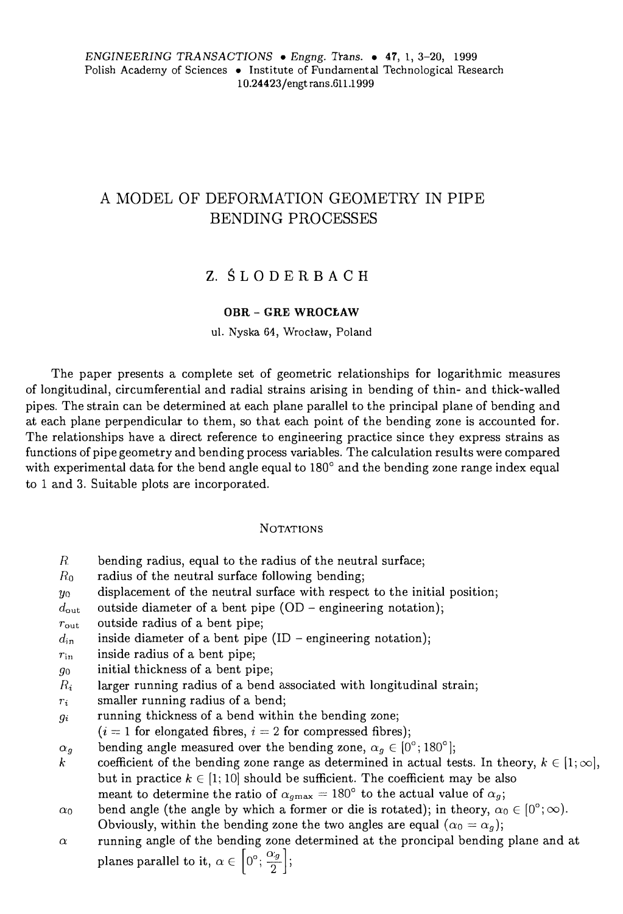# A MODEL OF DEFORMATION GEOMETRY IN PIPE BENDING PROCESSES

# Z. Ś L O D E R B A C H

#### **OBR - GRE WROCŁAW**

ul. Nyska 64, Wrocław, Poland

The paper presents a complete set of geometrie relationships for logarithmic measures of longitudinal, circumferential and radia! strains arising in bending of thin- and thick-walled pip es. The strain can be determined at each piane parallel to the principal piane of bending and at each piane perpendicular to them, so that each point of the bending zone is accounted for. The relationships have a direct reference to engineering practice since they express strains as functions of pipe geometry and bending process variables. The calculation results were compared with experimental data for the bend angle equal to 180° and the bending zone range index equal to 1 and 3. Suitable plots are incorporated.

#### **NOTATIONS**

- $R$  bending radius, equal to the radius of the neutral surface;
- $R_0$  radius of the neutral surface following bending;
- $y_0$  displacement of the neutral surface with respect to the initial position;
- $d_{\text{out}}$  outside diameter of a bent pipe (OD engineering notation);
- $r_{\text{out}}$  outside radius of a bent pipe;
- $d_{in}$  inside diameter of a bent pipe (ID engineering notation);
- $r_{\text{in}}$  inside radius of a bent pipe;
- $g_0$  initial thickness of a bent pipe;
- $R_i$  larger running radius of a bend associated with longitudinal strain;
- $r_i$  smaller running radius of a bend;
- $g_i$  running thickness of a bend within the bending zone;
- $(i= 1$  for elongated fibres,  $i = 2$  for compressed fibres);
- $\alpha_g$  bending angle measured over the bending zone,  $\alpha_g \in [0^\circ; 180^\circ]$
- *k* coefficient of the bending zone range as determined in actual tests. In theory,  $k \in [1, \infty]$ , but in practice  $k \in [1, 10]$  should be sufficient. The coefficient may be also meant to determine the ratio of  $\alpha_{g\mathrm{max}} = 180^\circ$  to the actual value of  $\alpha_g$ ;
- $\alpha_0$  bend angle (the angle by which a former or die is rotated); in theory,  $\alpha_0 \in [0^\circ; \infty)$ . Obviously, within the bending zone the two angles are equal  $(\alpha_0 = \alpha_g)$ ;
- $\alpha$  running angle of the bending zone determined at the proncipal bending plane and at planes parallel to it,  $\alpha \in [0^{\circ}, \frac{c}{\cdot}]$  $\frac{1}{2}$  :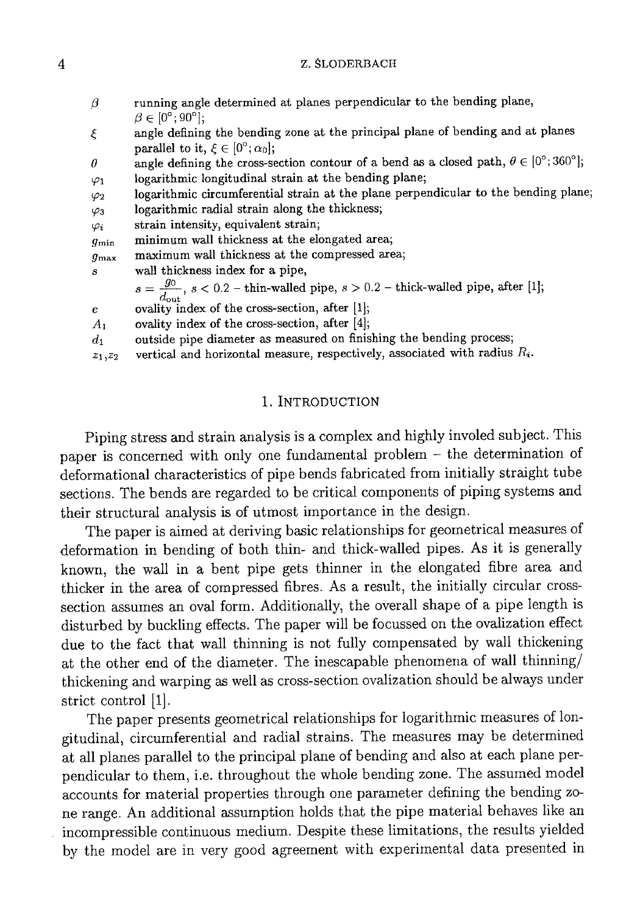#### Z. ŚLODERBACH

| ξ<br>parallel to it, $\xi \in [0^\circ; \alpha_0];$<br>angle defining the cross-section contour of a bend as a closed path, $\theta \in [0^{\circ}; 360^{\circ}]$ ;<br>$\theta$<br>logarithmic longitudinal strain at the bending plane;<br>$\varphi_1$<br>$\varphi_2$<br>logarithmic radial strain along the thickness;<br>$\varphi_3$<br>strain intensity, equivalent strain,<br>$\varphi_i$<br>minimum wall thickness at the elongated area;<br>$g_{\min}$<br>maximum wall thickness at the compressed area;<br>$g_{\max}$<br>wall thickness index for a pipe,<br>S<br>$s = \frac{g_0}{d_{\text{out}}}$ , $s < 0.2$ – thin-walled pipe, $s > 0.2$ – thick-walled pipe, after [1];<br>ovality index of the cross-section, after [1];<br>$\epsilon$<br>ovality index of the cross-section, after $[4]$ ;<br>A <sub>1</sub><br>outside pipe diameter as measured on finishing the bending process;<br>$d_1$<br>vertical and horizontal measure, respectively, associated with radius $R_i$ .<br>$z_1, z_2$ | $\beta$ | running angle determined at planes perpendicular to the bending plane,<br>$\beta \in [0^{\circ}; 90^{\circ}];$ |
|------------------------------------------------------------------------------------------------------------------------------------------------------------------------------------------------------------------------------------------------------------------------------------------------------------------------------------------------------------------------------------------------------------------------------------------------------------------------------------------------------------------------------------------------------------------------------------------------------------------------------------------------------------------------------------------------------------------------------------------------------------------------------------------------------------------------------------------------------------------------------------------------------------------------------------------------------------------------------------------------------------|---------|----------------------------------------------------------------------------------------------------------------|
|                                                                                                                                                                                                                                                                                                                                                                                                                                                                                                                                                                                                                                                                                                                                                                                                                                                                                                                                                                                                            |         | angle defining the bending zone at the principal plane of bending and at planes                                |
|                                                                                                                                                                                                                                                                                                                                                                                                                                                                                                                                                                                                                                                                                                                                                                                                                                                                                                                                                                                                            |         |                                                                                                                |
|                                                                                                                                                                                                                                                                                                                                                                                                                                                                                                                                                                                                                                                                                                                                                                                                                                                                                                                                                                                                            |         |                                                                                                                |
|                                                                                                                                                                                                                                                                                                                                                                                                                                                                                                                                                                                                                                                                                                                                                                                                                                                                                                                                                                                                            |         |                                                                                                                |
|                                                                                                                                                                                                                                                                                                                                                                                                                                                                                                                                                                                                                                                                                                                                                                                                                                                                                                                                                                                                            |         | logarithmic circumferential strain at the plane perpendicular to the bending plane;                            |
|                                                                                                                                                                                                                                                                                                                                                                                                                                                                                                                                                                                                                                                                                                                                                                                                                                                                                                                                                                                                            |         |                                                                                                                |
|                                                                                                                                                                                                                                                                                                                                                                                                                                                                                                                                                                                                                                                                                                                                                                                                                                                                                                                                                                                                            |         |                                                                                                                |
|                                                                                                                                                                                                                                                                                                                                                                                                                                                                                                                                                                                                                                                                                                                                                                                                                                                                                                                                                                                                            |         |                                                                                                                |
|                                                                                                                                                                                                                                                                                                                                                                                                                                                                                                                                                                                                                                                                                                                                                                                                                                                                                                                                                                                                            |         |                                                                                                                |
|                                                                                                                                                                                                                                                                                                                                                                                                                                                                                                                                                                                                                                                                                                                                                                                                                                                                                                                                                                                                            |         |                                                                                                                |
|                                                                                                                                                                                                                                                                                                                                                                                                                                                                                                                                                                                                                                                                                                                                                                                                                                                                                                                                                                                                            |         |                                                                                                                |
|                                                                                                                                                                                                                                                                                                                                                                                                                                                                                                                                                                                                                                                                                                                                                                                                                                                                                                                                                                                                            |         |                                                                                                                |
|                                                                                                                                                                                                                                                                                                                                                                                                                                                                                                                                                                                                                                                                                                                                                                                                                                                                                                                                                                                                            |         |                                                                                                                |
|                                                                                                                                                                                                                                                                                                                                                                                                                                                                                                                                                                                                                                                                                                                                                                                                                                                                                                                                                                                                            |         |                                                                                                                |
|                                                                                                                                                                                                                                                                                                                                                                                                                                                                                                                                                                                                                                                                                                                                                                                                                                                                                                                                                                                                            |         |                                                                                                                |
|                                                                                                                                                                                                                                                                                                                                                                                                                                                                                                                                                                                                                                                                                                                                                                                                                                                                                                                                                                                                            |         |                                                                                                                |

## 1. INTRODUCTION

Piping stress and strain analysis is a complex and highly involed subject. This paper is concerned with only one fundamental problem - the determination of deformational characteristics of pipe bends fabricated from initially straight tube sections. The bends are regarded to be critical components of piping systems and their structural analysis is of utmost importance in the design.

The paper is aimed at deriving basic relationships for geometrical measures of deformation in bending of both thin- and thick-walled pipes. As it is generally known, the wall in a bent pipe gets thinner in the elongated fibre area and thicker in the area of compressed fibres. As a result, the initially circular crosssection assumes an oval form. Additionally, the overall shape of a pipe length is disturbed by buckling effects. The paper will be focussed on the ovalization effect due to the fact that wall thinning is not fully compensated by wall thickening at the other end of the diameter. The inescapable phenomena of wall thinning/ thickening and warping as well as cross-section ovalization should be always under strict control [1].

The paper presents geometrical relationships for logarithmic measures of longitudinal, circumferential and radial strains. The measures may be determined at all planes parallel to the principal plane of bending and also at each plane perpendicular to them, i.e. throughout the whole bending zone. The assumed model accounts for material properties through one parameter defining the bending zone range. An additional assumption holds that the pipe material behaves like an incompressible continuous medium. Despite these limitations, the results yielded by the model are in very good agreement with experimental data presented in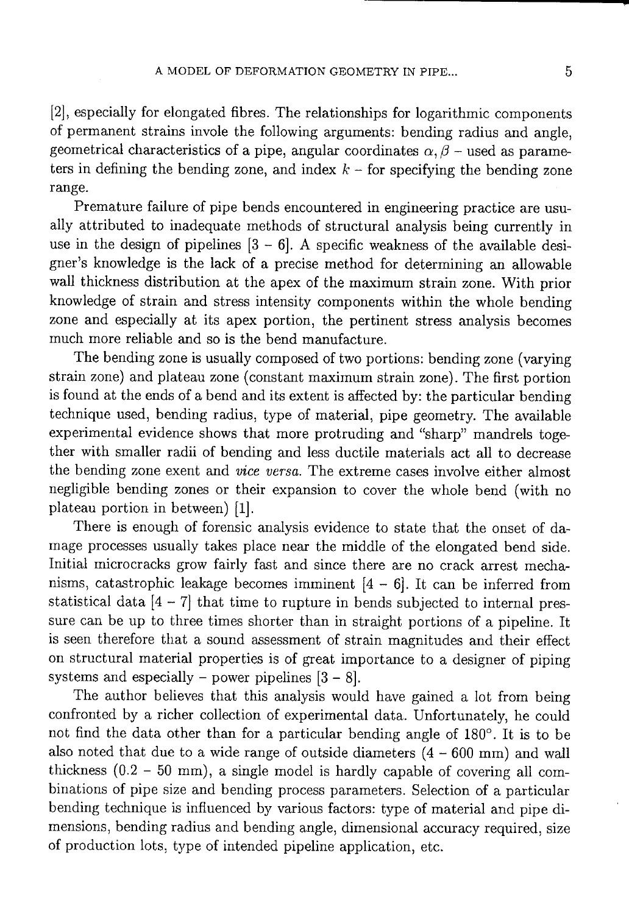[2], especially for elongated fibres. The relationships for logarithmic components of permanent strains invole the following arguments: bending radius and angle, geometrical characteristics of a pipe, angular coordinates  $\alpha$ ,  $\beta$  – used as parameters in defining the bending zone, and index  $k$  – for specifying the bending zone range.

Premature failure of pipe bends encountered in engineering practice are usually attributed to inadequate methods of structural analysis being currently in use in the design of pipelines  $[3 - 6]$ . A specific weakness of the available designer's knowledge is the lack of a precise method for determining an allowable wall thickness distribution at the apex of the maximum strain zone. With prior knowledge of strain and stress intensity components within the whole bending zone and especially at its apex portion, the pertinent stress analysis becomes much more reliable and so is the bend manufacture.

The bending zone is usually composed of two portions: bending zone (varying strain zone) and plateau zone (constant maximum strain zone). The first portion is found at the ends of a bend and its extent is affected by: the particular bending technique used, bending radius, type of material, pipe geometry. The available experimental evidence shows that more protruding and "sharp" mandrels together with smaller radii of bending and less ductile materials act all to decrease the bending zone exent and *vice versa*. The extreme cases involve either almost negligible bending zones or their expansion to cover the whole bend (with no plateau portion in between) [1].

There is enough of forensic analysis evidence to state that the onset of damage processes usually takes place near the middle of the elongated bend side. Initial microcracks grow fairly fast and since there are no crack arrest mechanisms, catastrophic leakage becomes imminent  $[4 - 6]$ . It can be inferred from statistical data  $[4 - 7]$  that time to rupture in bends subjected to internal pressure can be up to three times shorter than in straight portions of a pipeline. It is seen therefore that a sound assessment of strain magnitudes and their effect on structural material properties is of great importance to a designer of piping systems and especially – power pipelines  $[3 - 8]$ .

The author believes that this analysis would have gained a lot from being confronted by a richer collection of experimental data. Unfortunately, he could not find the data other than for a particular bending angle of 180°. It is to be also noted that due to a wide range of outside diameters  $(4 - 600 \text{ mm})$  and wall thickness  $(0.2 - 50$  mm), a single model is hardly capable of covering all combinations of pipe size and bending process parameters. Selection of a particular bending technique is influenced by various factors: type of material and pipe dimensions, bending radius and bending angle, dimensional accuracy required, size of production lots, type of intended pipeline application, etc.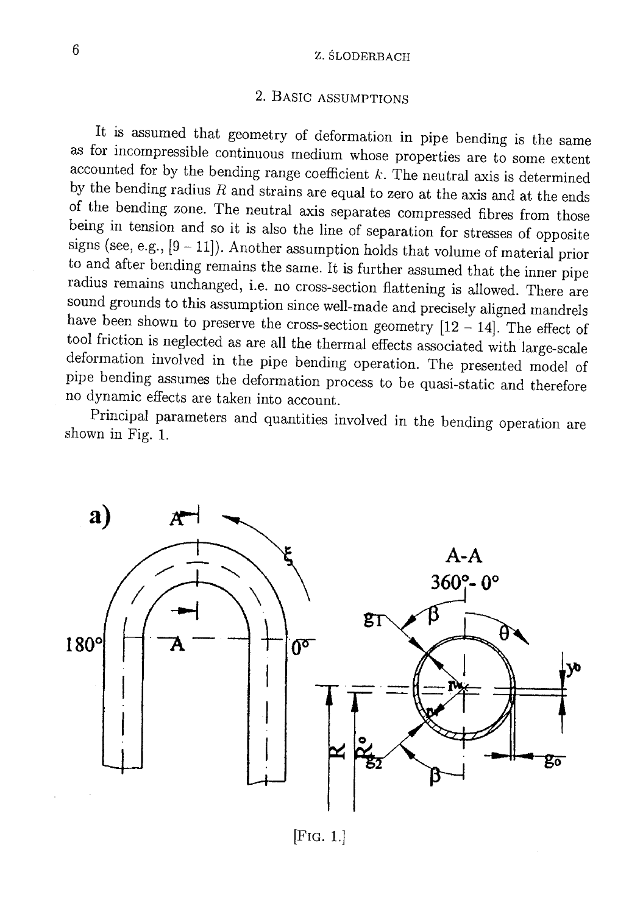### Z. ŚLODERBACH

# 2. BASIC ASSUMPTIONS

It is assumed that geometry of deformation in pipe bending is the same as for incompressible continuous medium whose properties are to some extent accounted for by the bending range coefficient  $k$ . The neutral axis is determined by the bending radius  $R$  and strains are equal to zero at the axis and at the ends of the bending zone. The neutral axis separates compressed fibres from those being in tension and so it is also the line of separation for stresses of opposite signs (see, e.g.,  $[9 - 11]$ ). Another assumption holds that volume of material prior to and after bending remains the same. It is further assumed that the inner pipe radius remains unchanged, i.e. no cross-section flattening is allowed. There are sound grounds to this assumption since well-made and precisely aligned mandrels have been shown to preserve the cross-section geometry  $[12 - 14]$ . The effect of tool friction is neglected as are all the thermal effects associated with large-scale deformation involved in the pipe bending operation. The presented model of pipe bending assumes the deformation process to be quasi-static and therefore no dynamic effects are taken into account.

Principal parameters and quantities involved in the bending operation are shown in Fig. 1.



 $[Fig. 1.]$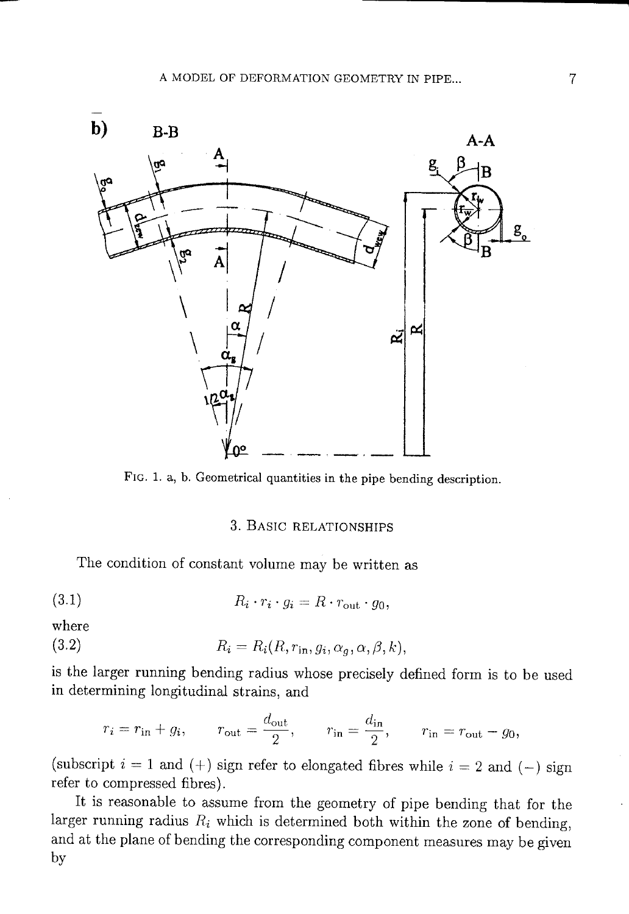

FIG. 1. a, b. Geometrical quantities in the pipe bending description.

# 3. BASIC RELATIONSHIPS

The condition of constant volume may be written as

$$
(3.1) \t R_i \cdot r_i \cdot g_i = R \cdot r_{\text{out}} \cdot q_0
$$

where

(3.2) 
$$
R_i = R_i(R, r_{\text{in}}, g_i, \alpha_g, \alpha, \beta, k),
$$

is the larger running bending radius whose precisely defined form is to be used in determining longitudinal strains, and

$$
r_i = r_{\rm in} + g_i
$$
,  $r_{\rm out} = \frac{d_{\rm out}}{2}$ ,  $r_{\rm in} = \frac{d_{\rm in}}{2}$ ,  $r_{\rm in} = r_{\rm out} - g_0$ .

(subscript  $i = 1$  and (+) sign refer to elongated fibres while  $i = 2$  and (-) sign refer to compressed fibres).

It is reasonable to assume from the geometry of pipe bending that for the larger running radius  $R_i$  which is determined both within the zone of bending, and at the plane of bending the corresponding component measures may be given by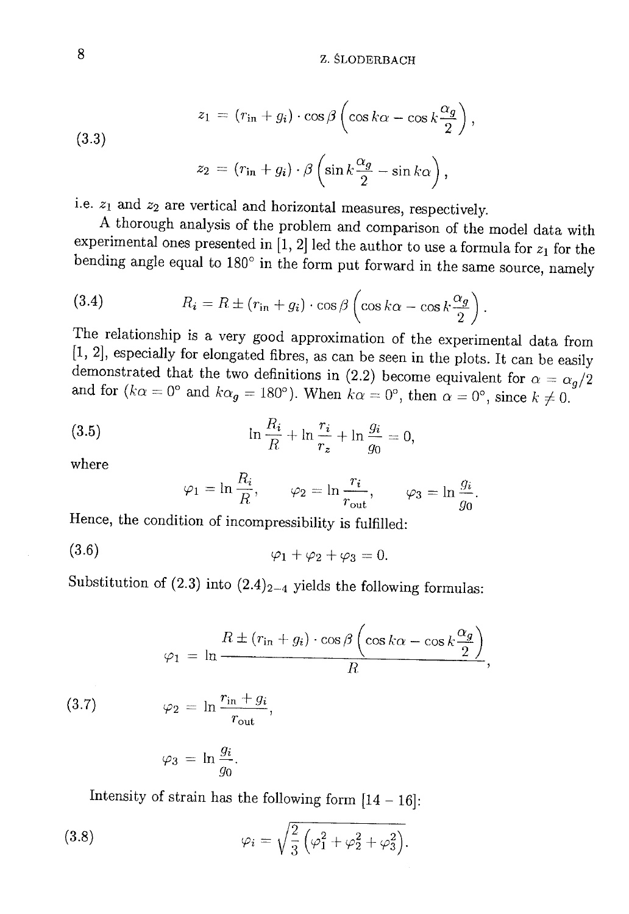$$
z_1 = (r_{\rm in} + g_i) \cdot \cos \beta \left( \cos k\alpha - \cos k\frac{\alpha_g}{2} \right),
$$

 $(3.3)$ 

$$
z_2 = (r_{\rm in} + g_i) \cdot \beta \left( \sin k \frac{\alpha_g}{2} - \sin k \alpha \right),
$$

i.e.  $z_1$  and  $z_2$  are vertical and horizontal measures, respectively.

A thorough analysis of the problem and comparison of the model data with experimental ones presented in [1, 2] led the author to use a formula for  $z_1$  for the bending angle equal to  $180^{\circ}$  in the form put forward in the same source, namely

(3.4) 
$$
R_i = R \pm (r_{\text{in}} + g_i) \cdot \cos \beta \left( \cos k\alpha - \cos k \frac{\alpha_g}{2} \right)
$$

The relationship is a very good approximation of the experimental data from [1, 2], especially for elongated fibres, as can be seen in the plots. It can be easily demonstrated that the two definitions in (2.2) become equivalent for  $\alpha = \alpha_g/2$ and for  $(k\alpha = 0^{\circ}$  and  $k\alpha_g = 180^{\circ})$ . When  $k\alpha = 0^{\circ}$ , then  $\alpha = 0^{\circ}$ , since  $k \neq 0$ .

(3.5) 
$$
\ln \frac{R_i}{R} + \ln \frac{r_i}{r_z} + \ln \frac{g_i}{g_0} = 0,
$$

where

$$
\varphi_1 = \ln \frac{R_i}{R}, \qquad \varphi_2 = \ln \frac{r_i}{r_{\text{out}}}, \qquad \varphi_3 = \ln \frac{g_i}{g_0}.
$$

Hence, the condition of incompressibility is fulfilled:

$$
\varphi_1 + \varphi_2 + \varphi_3 = 0
$$

Substitution of (2.3) into  $(2.4)_{2-4}$  yields the following formulas:

$$
\varphi_1 = \ln \frac{R \pm (r_{\rm in} + g_i) \cdot \cos \beta \left(\cos k\alpha - \cos k\frac{\alpha_g}{2}\right)}{R},
$$

 $\varphi_2 = \ln \frac{r_{\rm in} + g_i}{r_{\rm out}},$  $(3.7)$ 

$$
\varphi_3 = \ln \frac{g_i}{g_0}.
$$

Intensity of strain has the following form  $[14 - 16]$ :

(3.8) 
$$
\varphi_i = \sqrt{\frac{2}{3} \left( \varphi_1^2 + \varphi_2^2 + \varphi_3^2 \right)}.
$$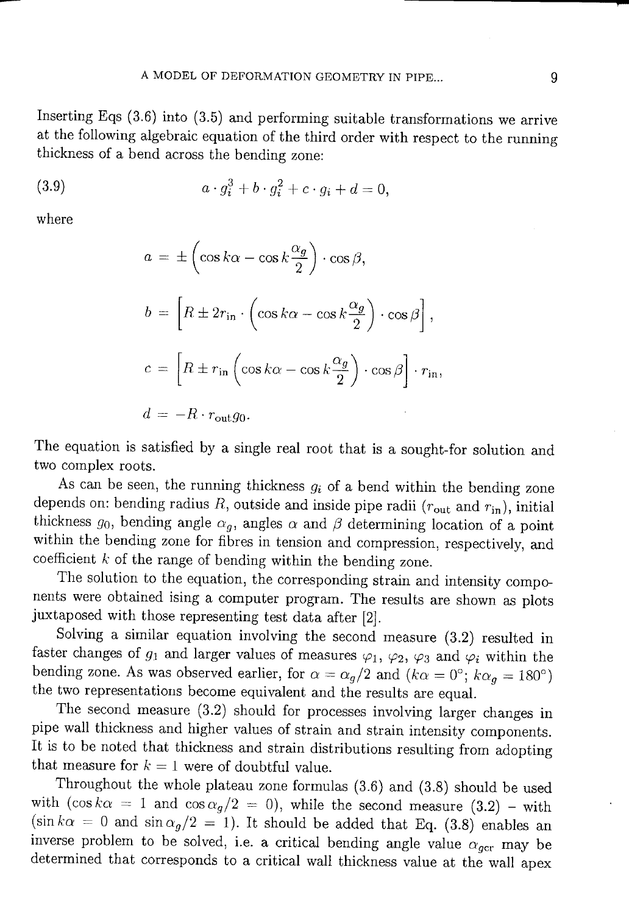Inserting Eqs  $(3.6)$  into  $(3.5)$  and performing suitable transformations we arrive at the following algebraic equation of the third order with respect to the running thickness of a bend across the bending zone:

(3.9) 
$$
a \cdot g_i^3 + b \cdot g_i^2 + c \cdot g_i + d = 0,
$$

where

$$
a = \pm \left( \cos k\alpha - \cos k \frac{\alpha_g}{2} \right) \cdot \cos \beta,
$$
  
\n
$$
b = \left[ R \pm 2r_{\text{in}} \cdot \left( \cos k\alpha - \cos k \frac{\alpha_g}{2} \right) \cdot \cos \beta \right],
$$
  
\n
$$
c = \left[ R \pm r_{\text{in}} \left( \cos k\alpha - \cos k \frac{\alpha_g}{2} \right) \cdot \cos \beta \right] \cdot r_{\text{in}},
$$
  
\n
$$
d = -R \cdot r_{\text{out}} g_0.
$$

The equation is satisfied by a single real root that is a sought-for solution and two complex roots.

As can be seen, the running thickness  $g_i$  of a bend within the bending zone depends on: bending radius  $R$ , outside and inside pipe radii ( $r_{\text{out}}$  and  $r_{\text{in}}$ ), initial thickness  $g_0$ , bending angle  $\alpha_g$ , angles  $\alpha$  and  $\beta$  determining location of a point within the bending zone for fibres in tension and compression, respectively, and coefficient  $k$  of the range of bending within the bending zone.

The solution to the equation, the corresponding strain and intensity components were obtained ising a computer program. The results are shown as plots juxtaposed with those representing test data after [2].

Solving a similar equation involving the second measure (3.2) resulted in faster changes of  $g_1$  and larger values of measures  $\varphi_1$ ,  $\varphi_2$ ,  $\varphi_3$  and  $\varphi_i$  within the bending zone. As was observed earlier, for  $\alpha = \alpha_g/2$  and  $(k\alpha = 0^{\circ}; k\alpha_g = 180^{\circ})$ the two representations become equivalent and the results are equal.

The second measure  $(3.2)$  should for processes involving larger changes in pipe wall thickness and higher values of strain and strain intensity components. It is to be noted that thickness and strain distributions resulting from adopting that measure for  $k = 1$  were of doubtful value.

Throughout the whole plateau zone formulas (3.6) and (3.8) should be used with  $(\cos k\alpha = 1$  and  $\cos \alpha_g/2 = 0)$ , while the second measure  $(3.2)$  – with  $(\sin k\alpha = 0$  and  $\sin \alpha_g/2 = 1)$ . It should be added that Eq. (3.8) enables an inverse problem to be solved, i.e. a critical bending angle value  $\alpha_{gc}$  may be determined that corresponds to a critical wall thickness value at the wall apex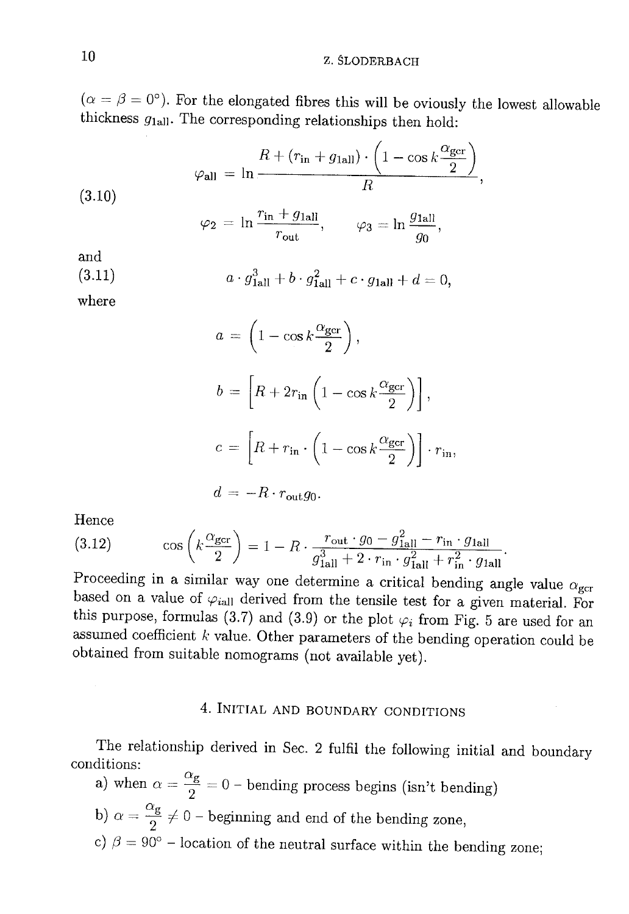$(\alpha = \beta = 0^{\circ})$ . For the elongated fibres this will be oviously the lowest allowable thickness  $g_{1\text{all}}$ . The corresponding relationships then hold:

(3.10)  
\n
$$
\varphi_{\text{all}} = \ln \frac{R + (r_{\text{in}} + g_{\text{ball}}) \cdot \left(1 - \cos k \frac{\alpha_{\text{gor}}}{2}\right)}{R},
$$
\n
$$
\varphi_2 = \ln \frac{r_{\text{in}} + g_{\text{ball}}}{r_{\text{out}}}, \qquad \varphi_3 = \ln \frac{g_{\text{ball}}}{g_0},
$$
\nand\n(3.11)

$$
a\cdot g_{\text{1all}}^3+b\cdot g_{\text{1all}}^2+c\cdot g_{\text{1all}}+d=0,
$$

where

$$
a = \left(1 - \cos k \frac{\alpha_{\text{gcr}}}{2}\right),
$$
  
\n
$$
b = \left[R + 2r_{\text{in}}\left(1 - \cos k \frac{\alpha_{\text{gcr}}}{2}\right)\right],
$$
  
\n
$$
c = \left[R + r_{\text{in}} \cdot \left(1 - \cos k \frac{\alpha_{\text{gcr}}}{2}\right)\right] \cdot r_{\text{in}},
$$
  
\n
$$
d = -R \cdot r_{\text{out}} g_0.
$$

Hence

(3.12) 
$$
\cos\left(k\frac{\alpha_{\text{gcr}}}{2}\right) = 1 - R \cdot \frac{r_{\text{out}} \cdot g_0 - g_{\text{1all}}^2 - r_{\text{in}} \cdot g_{\text{1all}}}{g_{\text{1all}}^3 + 2 \cdot r_{\text{in}} \cdot g_{\text{1all}}^2 + r_{\text{in}}^2 \cdot g_{\text{1all}}}
$$

Proceeding in a similar way one determine a critical bending angle value  $\alpha_{\rm gcr}$ based on a value of  $\varphi_{i}$ <sub>all</sub> derived from the tensile test for a given material. For this purpose, formulas (3.7) and (3.9) or the plot  $\varphi_i$  from Fig. 5 are used for an assumed coefficient  $k$  value. Other parameters of the bending operation could be obtained from suitable nomograms (not available yet).

# 4. INITIAL AND BOUNDARY CONDITIONS

The relationship derived in Sec. 2 fulfil the following initial and boundary conditions:  $\alpha$ 

a) when 
$$
\alpha = \frac{\alpha}{2} = 0
$$
 – bending process begins (isn't bending)

b) 
$$
\alpha = \frac{\alpha_g}{\alpha} \neq 0
$$
 - beginning and end of the bending zone,

c)  $\beta = 90^{\circ}$  – location of the neutral surface within the bending zone;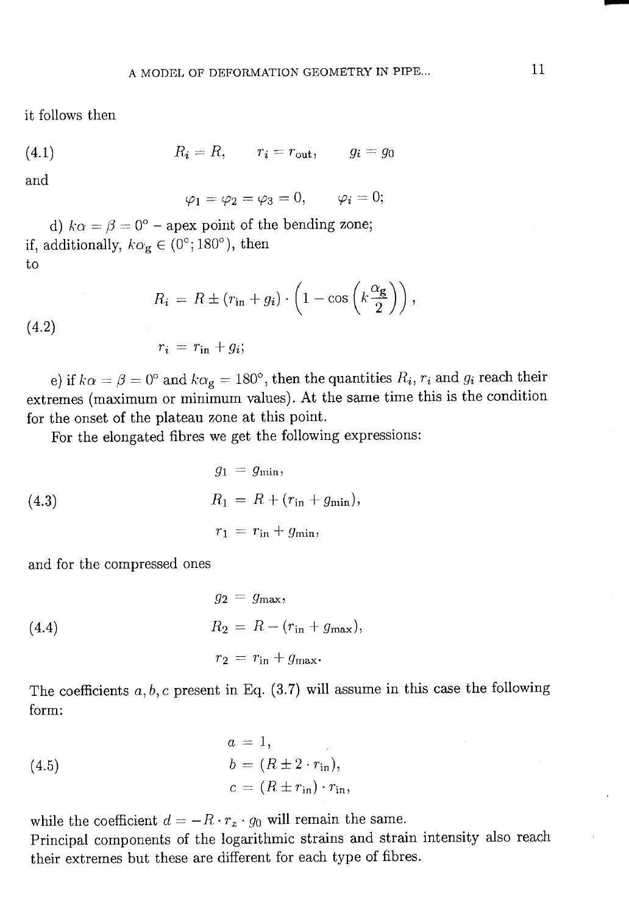it follows then

$$
(4.1) \t\t R_i = R, \t\t r_i = r_{\text{out}}, \t\t g_i = g_0
$$

and

$$
\varphi_1=\varphi_2=\varphi_3=0,\qquad \varphi_i=0;
$$

d)  $k\alpha = \beta = 0^{\circ}$  – apex point of the bending zone; if, additionally,  $k\alpha_{\mathbf{g}} \in (0^{\circ}; 180^{\circ})$ , then to

$$
R_i = R \pm (r_{\rm in} + g_i) \cdot \left(1 - \cos\left(k \frac{\alpha_{\rm g}}{2}\right)\right),
$$

 $(4.2)$ 

 $r_i = r_{\rm in} + g_i;$ 

e) if  $k\alpha = \beta = 0^{\circ}$  and  $k\alpha_{g} = 180^{\circ}$ , then the quantities  $R_i$ ,  $r_i$  and  $g_i$  reach their extremes (maximum or minimum values). At the same time this is the condition for the onset of the plateau zone at this point.

For the elongated fibres we get the following expressions:

(4.3) 
$$
g_1 = g_{\min},
$$

$$
R_1 = R + (r_{\text{in}} + g_{\min}),
$$

$$
r_1 = r_{\text{in}} + g_{\min},
$$

and for the compressed ones

(4.4) 
$$
g_2 = g_{\text{max}},
$$

$$
R_2 = R - (r_{\text{in}} + g_{\text{max}}),
$$

$$
r_2 = r_{\text{in}} + g_{\text{max}}.
$$

The coefficients  $a, b, c$  present in Eq. (3.7) will assume in this case the following form:

(4.5)  
\n
$$
a = 1,
$$
\n
$$
b = (R \pm 2 \cdot r_{\text{in}}),
$$
\n
$$
c = (R \pm r_{\text{in}}) \cdot r_{\text{in}},
$$

while the coefficient  $d = -R \cdot r_z \cdot g_0$  will remain the same.

Principal components of the logarithmic strains and strain intensity also reach their extremes but these are different for each type of fibres.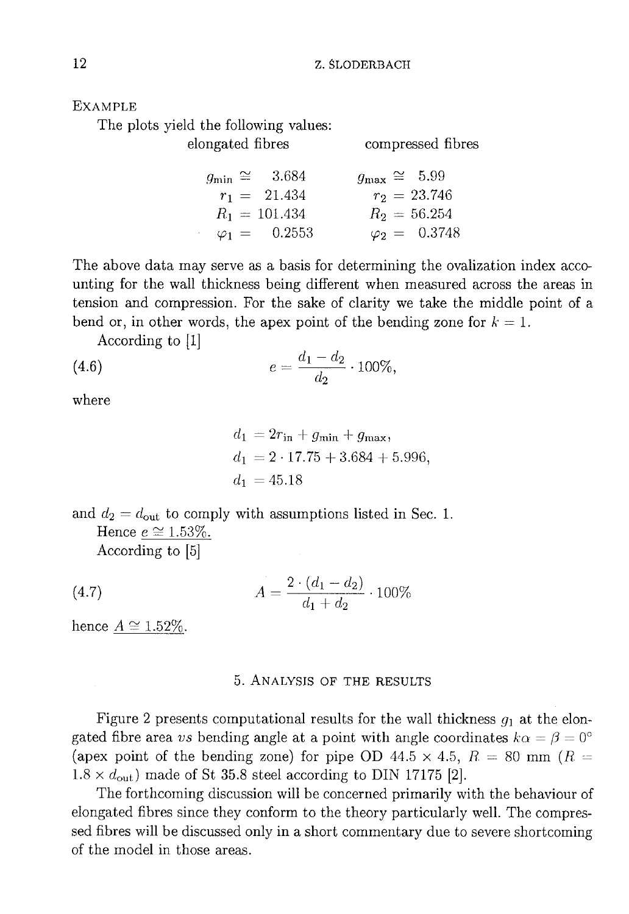**EXAMPLE** 

The plots yield the following values:

elongated fibres

compressed fibres

|  | $g_{\text{min}} \cong 3.684$ |  | $g_{\text{max}} \cong 5.99$ |
|--|------------------------------|--|-----------------------------|
|  | $r_1 = 21.434$               |  | $r_2 = 23.746$              |
|  | $R_1 = 101.434$              |  | $R_2 = 56.254$              |
|  | $\varphi_1 = 0.2553$         |  | $\varphi_2 = 0.3748$        |

The above data may serve as a basis for determining the ovalization index accounting for the wall thickness being different when measured across the areas in tension and compression. For the sake of clarity we take the middle point of a bend or, in other words, the apex point of the bending zone for  $k = 1$ .

According to  $[1]$ 

(4.6) 
$$
e = \frac{d_1 - d_2}{d_2} \cdot 100\%,
$$

where

$$
d_1 = 2r_{\text{in}} + g_{\text{min}} + g_{\text{max}},
$$
  
\n
$$
d_1 = 2 \cdot 17.75 + 3.684 + 5.996,
$$
  
\n
$$
d_1 = 45.18
$$

and  $d_2 = d_{\text{out}}$  to comply with assumptions listed in Sec. 1.

Hence  $e \cong 1.53\%.$ According to [5]

(4.7) 
$$
A = \frac{2 \cdot (d_1 - d_2)}{d_1 + d_2} \cdot 100\%
$$

hence  $A \cong 1.52\%.$ 

## 5. ANALYSIS OF THE RESULTS

Figure 2 presents computational results for the wall thickness  $g_1$  at the elongated fibre area vs bending angle at a point with angle coordinates  $k\alpha = \beta = 0^{\circ}$ (apex point of the bending zone) for pipe OD 44.5  $\times$  4.5,  $R = 80$  mm ( $R =$  $1.8 \times d_{\text{out}}$ ) made of St 35.8 steel according to DIN 17175 [2].

The forthcoming discussion will be concerned primarily with the behaviour of elongated fibres since they conform to the theory particularly well. The compressed fibres will be discussed only in a short commentary due to severe shortcoming of the model in those areas.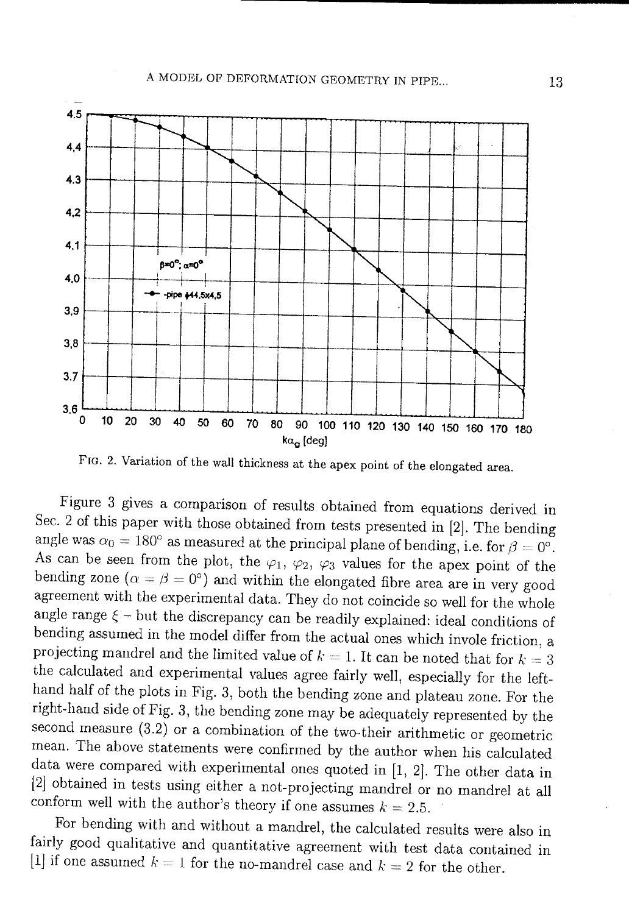

FIG. 2. Variation of the wall thickness at the apex point of the elongated area.

Figure 3 gives a comparison of results obtained from equations derived in Sec. 2 of this paper with those obtained from tests presented in [2]. The bending angle was  $\alpha_0 = 180^\circ$  as measured at the principal plane of bending, i.e. for  $\beta = 0^\circ$ . As can be seen from the plot, the  $\varphi_1$ ,  $\varphi_2$ ,  $\varphi_3$  values for the apex point of the bending zone ( $\alpha = \beta = 0^{\circ}$ ) and within the elongated fibre area are in very good agreement with the experimental data. They do not coincide so well for the whole angle range  $\xi$  – but the discrepancy can be readily explained: ideal conditions of bending assumed in the model differ from the actual ones which invole friction, a projecting mandrel and the limited value of  $k = 1$ . It can be noted that for  $k = 3$ the calculated and experimental values agree fairly well, especially for the lefthand half of the plots in Fig. 3, both the bending zone and plateau zone. For the right-hand side of Fig. 3, the bending zone may be adequately represented by the second measure  $(3.2)$  or a combination of the two-their arithmetic or geometric mean. The above statements were confirmed by the author when his calculated data were compared with experimental ones quoted in  $[1, 2]$ . The other data in [2] obtained in tests using either a not-projecting mandrel or no mandrel at all conform well with the author's theory if one assumes  $k = 2.5$ .

For bending with and without a mandrel, the calculated results were also in fairly good qualitative and quantitative agreement with test data contained in [1] if one assumed  $k = 1$  for the no-mandrel case and  $k = 2$  for the other.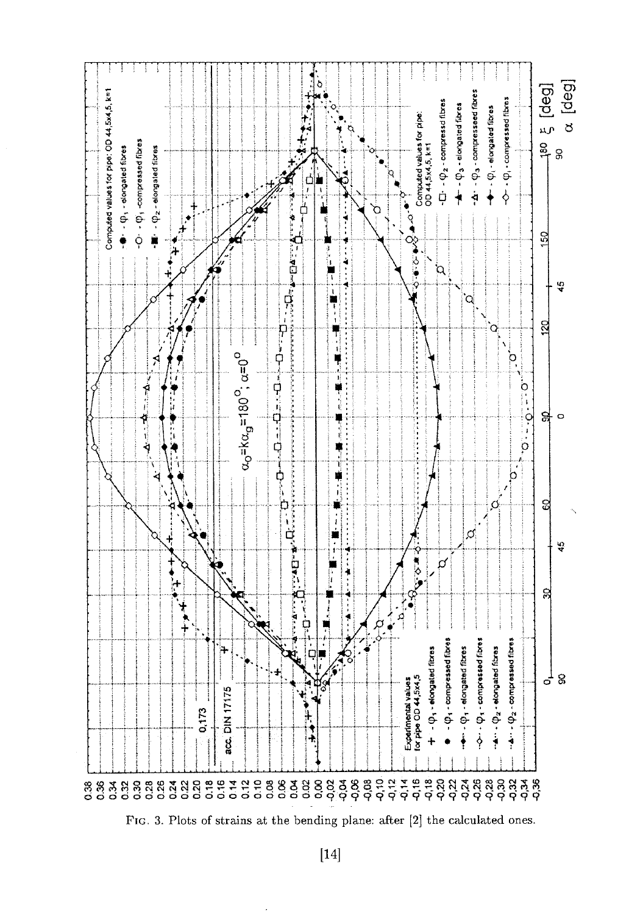

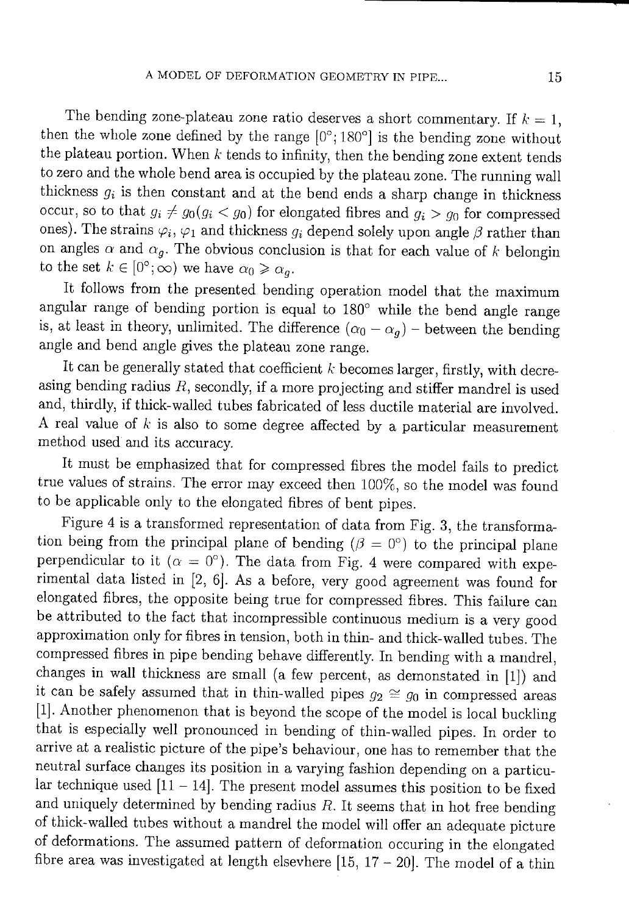The bending zone-plateau zone ratio deserves a short commentary. If  $k = 1$ , then the whole zone defined by the range  $[0^\circ; 180^\circ]$  is the bending zone without the plateau portion. When  $k$  tends to infinity, then the bending zone extent tends to zero and the whole bend area is occupied by the plateau zone. The running wall thickness  $g_i$  is then constant and at the bend ends a sharp change in thickness occur, so to that  $g_i \neq g_0(g_i < g_0)$  for elongated fibres and  $g_i > g_0$  for compressed ones). The strains  $\varphi_i$ ,  $\varphi_1$  and thickness  $g_i$  depend solely upon angle  $\beta$  rather than on angles  $\alpha$  and  $\alpha_g$ . The obvious conclusion is that for each value of k belongin to the set  $k \in [0^{\circ}; \infty)$  we have  $\alpha_0 \ge \alpha_a$ .

It follows from the presented bending operation model that the maximum angular range of bending portion is equal to 180° while the bend angle range is, at least in theory, unlimited. The difference  $(\alpha_0 - \alpha_q)$  – between the bending angle and bend angle gives the plateau zone range.

It can be generally stated that coefficient  $k$  becomes larger, firstly, with decreasing bending radius  $R$ , secondly, if a more projecting and stiffer mandrel is used and, thirdly, if thick-walled tubes fabricated of less ductile material are involved. A real value of  $k$  is also to some degree affected by a particular measurement method used and its accuracy.

It must be emphasized that for compressed fibres the model fails to predict true values of strains. The error may exceed then 100%, so the model was found to be applicable only to the elongated fibres of bent pipes.

Figure 4 is a transformed representation of data from Fig. 3, the transformation being from the principal plane of bending ( $\beta = 0^{\circ}$ ) to the principal plane perpendicular to it ( $\alpha = 0^{\circ}$ ). The data from Fig. 4 were compared with experimental data listed in [2, 6]. As a before, very good agreement was found for elongated fibres, the opposite being true for compressed fibres. This failure can be attributed to the fact that incompressible continuous medium is a very good approximation only for fibres in tension, both in thin- and thick-walled tubes. The compressed fibres in pipe bending behave differently. In bending with a mandrel, changes in wall thickness are small (a few percent, as demonstated in [1]) and it can be safely assumed that in thin-walled pipes  $g_2 \cong g_0$  in compressed areas [1]. Another phenomenon that is beyond the scope of the model is local buckling that is especially well pronounced in bending of thin-walled pipes. In order to arrive at a realistic picture of the pipe's behaviour, one has to remember that the neutral surface changes its position in a varying fashion depending on a particular technique used  $[11 - 14]$ . The present model assumes this position to be fixed and uniquely determined by bending radius  $R$ . It seems that in hot free bending of thick-walled tubes without a mandrel the model will offer an adequate picture of deformations. The assumed pattern of deformation occuring in the elongated fibre area was investigated at length elsevhere  $[15, 17 - 20]$ . The model of a thin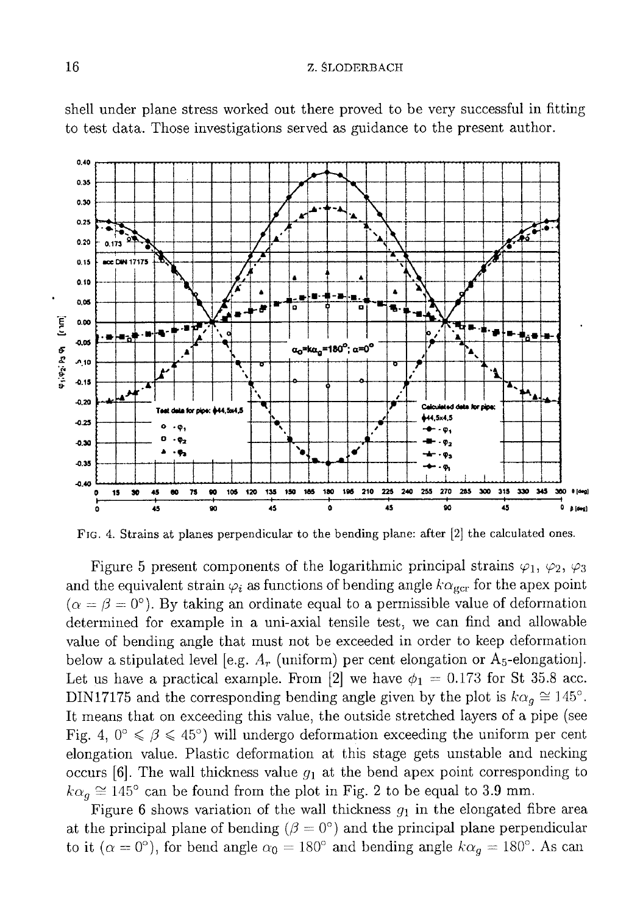

shell under plane stress worked out there proved to be very successful in fitting to test data. Those investigations served as guidance to the present author.

FIG. 4. Strains at planes perpendicular to the bending plane: after [2] the calculated ones.

Figure 5 present components of the logarithmic principal strains  $\varphi_1$ ,  $\varphi_2$ ,  $\varphi_3$ and the equivalent strain  $\varphi_i$  as functions of bending angle  $k\alpha_{\rm gcr}$  for the apex point  $(\alpha = \beta = 0^{\circ})$ . By taking an ordinate equal to a permissible value of deformation determined for example in a uni-axial tensile test, we can find and allowable value of bending angle that must not be exceeded in order to keep deformation below a stipulated level [e.g.  $A_r$  (uniform) per cent elongation or  $A_5$ -elongation]. Let us have a practical example. From [2] we have  $\phi_1 = 0.173$  for St 35.8 acc. DIN17175 and the corresponding bending angle given by the plot is  $k\alpha_q \approx 145^\circ$ . It means that on exceeding this value, the outside stretched layers of a pipe (see Fig. 4,  $0^{\circ} \le \beta \le 45^{\circ}$ ) will undergo deformation exceeding the uniform per cent elongation value. Plastic deformation at this stage gets unstable and necking occurs [6]. The wall thickness value  $g_1$  at the bend apex point corresponding to  $k\alpha_q \approx 145^\circ$  can be found from the plot in Fig. 2 to be equal to 3.9 mm.

Figure 6 shows variation of the wall thickness  $g_1$  in the elongated fibre area at the principal plane of bending ( $\beta = 0^{\circ}$ ) and the principal plane perpendicular to it ( $\alpha = 0^{\circ}$ ), for bend angle  $\alpha_0 = 180^{\circ}$  and bending angle  $k\alpha_g = 180^{\circ}$ . As can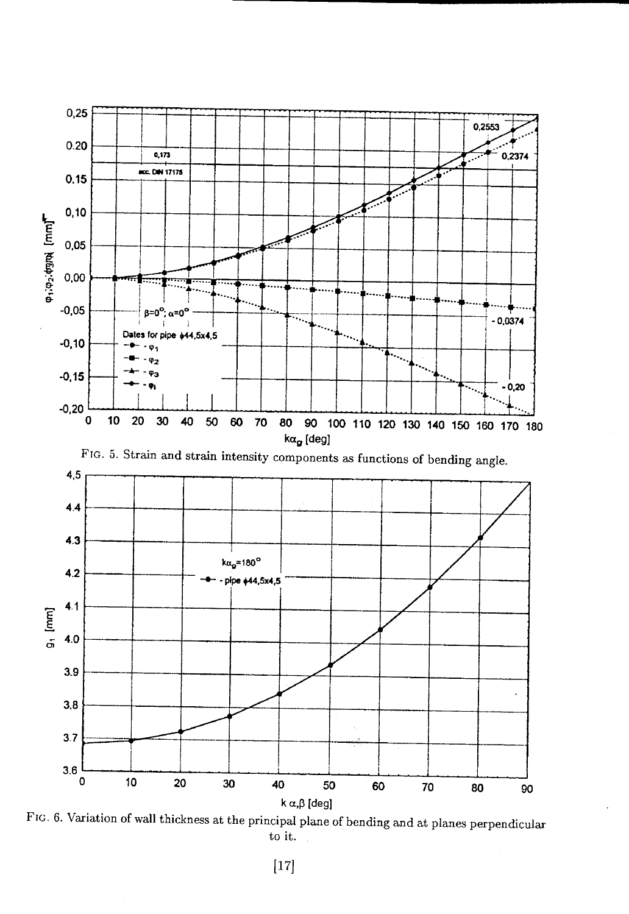

FIG. 6. Variation of wall thickness at the principal plane of bending and at planes perpendicular to it.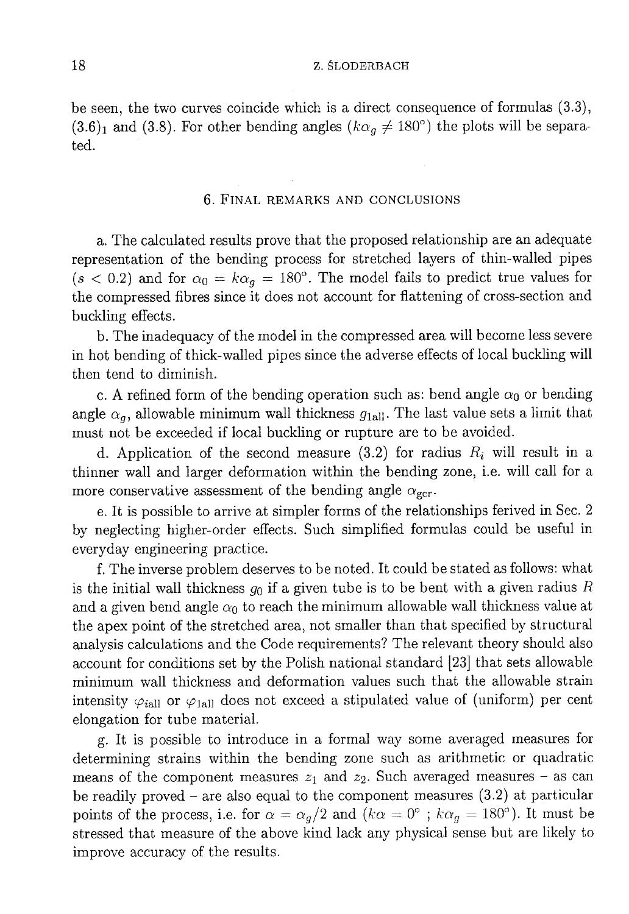be seen, the two curves coincide which is a direct consequence of formulas  $(3.3)$ ,  $(3.6)_1$  and  $(3.8)$ . For other bending angles  $(k\alpha_q \neq 180^\circ)$  the plots will be separated.

## 6. FINAL REMARKS AND CONCLUSIONS

a. The calculated results prove that the proposed relationship are an adequate representation of the bending process for stretched layers of thin-walled pipes  $(s < 0.2)$  and for  $\alpha_0 = k\alpha_q = 180^\circ$ . The model fails to predict true values for the compressed fibres since it does not account for flattening of cross-section and buckling effects.

b. The inadequacy of the model in the compressed area will become less severe in hot bending of thick-walled pipes since the adverse effects of local buckling will then tend to diminish.

c. A refined form of the bending operation such as: bend angle  $\alpha_0$  or bending angle  $\alpha_q$ , allowable minimum wall thickness  $g_{\text{half}}$ . The last value sets a limit that must not be exceeded if local buckling or rupture are to be avoided.

d. Application of the second measure (3.2) for radius  $R_i$  will result in a thinner wall and larger deformation within the bending zone, i.e. will call for a more conservative assessment of the bending angle  $\alpha_{\text{gcr}}$ .

e. It is possible to arrive at simpler forms of the relationships ferived in Sec. 2 by neglecting higher-order effects. Such simplified formulas could be useful in everyday engineering practice.

f. The inverse problem deserves to be noted. It could be stated as follows: what is the initial wall thickness  $g_0$  if a given tube is to be bent with a given radius R and a given bend angle  $\alpha_0$  to reach the minimum allowable wall thickness value at the apex point of the stretched area, not smaller than that specified by structural analysis calculations and the Code requirements? The relevant theory should also account for conditions set by the Polish national standard [23] that sets allowable minimum wall thickness and deformation values such that the allowable strain intensity  $\varphi_{\text{fall}}$  or  $\varphi_{\text{fall}}$  does not exceed a stipulated value of (uniform) per cent elongation for tube material.

g. It is possible to introduce in a formal way some averaged measures for determining strains within the bending zone such as arithmetic or quadratic means of the component measures  $z_1$  and  $z_2$ . Such averaged measures - as can be readily proved – are also equal to the component measures  $(3.2)$  at particular points of the process, i.e. for  $\alpha = \alpha_g/2$  and  $(k\alpha = 0^{\circ}$ ;  $k\alpha_g = 180^{\circ})$ . It must be stressed that measure of the above kind lack any physical sense but are likely to improve accuracy of the results.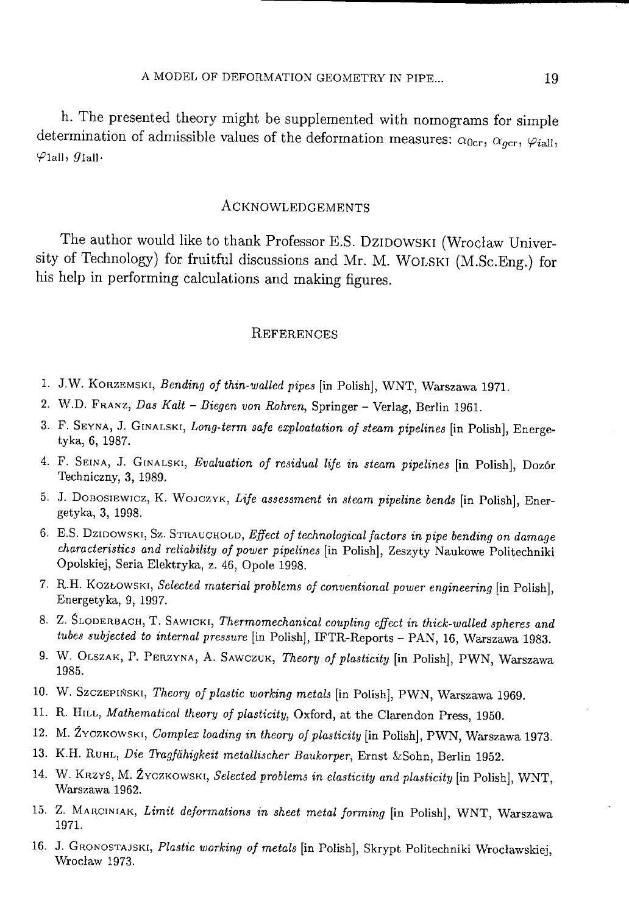h. The presented theory might be supplemented with nomograms for simple determination of admissible values of the deformation measures:  $\alpha_{0cr}, \alpha_{acc}, \varphi_{iall}$  $\varphi$ <sub>1all</sub>,  $g$ <sub>1all</sub>.

## **ACKNOWLEDGEMENTS**

The author would like to thank Professor E.S. DZIDOWSKI (Wrocław University of Technology) for fruitful discussions and Mr. M. WOLSKI (M.Sc.Eng.) for his help in performing calculations and making figures.

#### **REFERENCES**

- 1. J.W. KORZEMSKI, Bending of thin-walled pipes [in Polish], WNT, Warszawa 1971.
- 2. W.D. FRANZ, Das Kalt Biegen von Rohren, Springer Verlag, Berlin 1961.
- 3. F. SEYNA, J. GINALSKI, Long-term safe exploatation of steam pipelines [in Polish], Energetyka, 6, 1987.
- 4. F. SEINA, J. GINALSKI, Evaluation of residual life in steam pipelines [in Polish], Dozór Techniczny, 3, 1989.
- 5. J. DOBOSIEWICZ, K. WOJCZYK, Life assessment in steam pipeline bends [in Polish], Energetyka, 3, 1998.
- 6. E.S. DzIDOWSKI, Sz. STRAUCHOLD, Effect of technological factors in pipe bending on damage characteristics and reliability of power pipelines [in Polish], Zeszyty Naukowe Politechniki Opolskiej, Seria Elektryka, z. 46, Opole 1998.
- 7. R.H. KOZŁOWSKI, Selected material problems of conventional power engineering [in Polish], Energetyka, 9, 1997.
- 8. Z. SLODERBACH, T. SAWICKI, Thermomechanical coupling effect in thick-walled spheres and tubes subjected to internal pressure [in Polish], IFTR-Reports - PAN, 16, Warszawa 1983.
- 9. W. OLSZAK, P. PERZYNA, A. SAWCZUK, Theory of plasticity [in Polish], PWN, Warszawa 1985.
- 10. W. Szczepiński, Theory of plastic working metals [in Polish], PWN, Warszawa 1969.
- 11. R. HILL, Mathematical theory of plasticity, Oxford, at the Clarendon Press, 1950.
- 12. M. ŹYCZKOWSKI, Complex loading in theory of plasticity [in Polish], PWN, Warszawa 1973.
- 13. K.H. RUHL, Die Tragfähigkeit metallischer Baukorper, Ernst & Sohn, Berlin 1952.
- 14. W. KRZYS, M. ŹYCZKOWSKI, Selected problems in elasticity and plasticity [in Polish], WNT, Warszawa 1962.
- 15. Z. MARCINIAK, Limit deformations in sheet metal forming [in Polish], WNT, Warszawa 1971.
- 16. J. GRONOSTAJSKI, Plastic working of metals [in Polish], Skrypt Politechniki Wrocławskiej, Wrocław 1973.